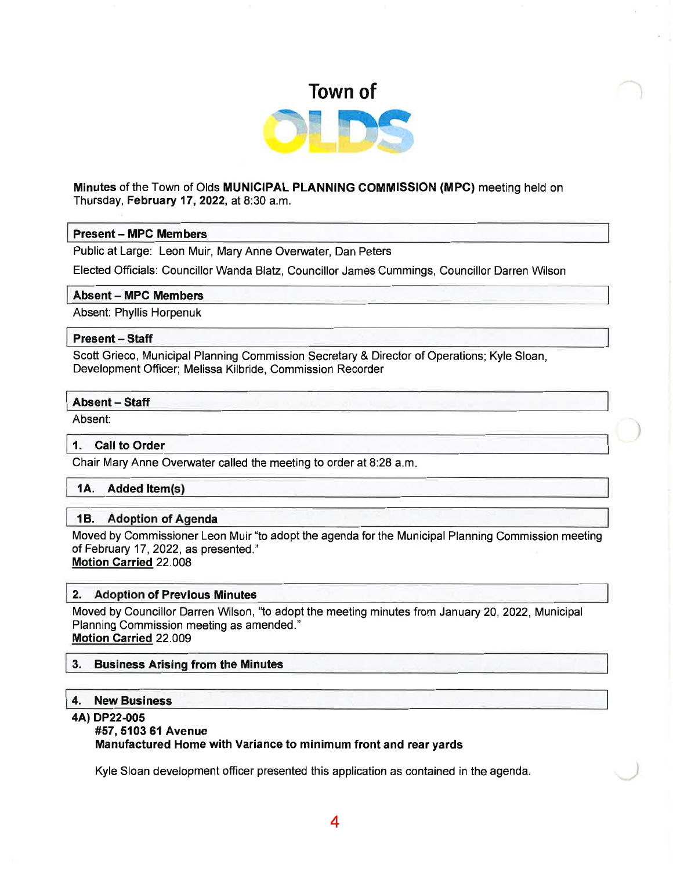

# Minutes of the Town of Olds MUNICIPAL PLANNING COMMISSION (MPc) meeting held on Thursday, February 17,2022, at 8:30 a.m.

# Present - MPC Members

Public at Large: Leon Muir, Mary Anne Overwater, Dan Peters

Elected Officials: Councillor Wanda Blatz, Councillor James Cummings, Councillor Darren Wilson

### Absent - MPC Members

Absent: Phyllis Horpenuk

# Present - Staff

Scott Grieco, Municipal Planning Commission Secretary & Director of Operations; Kyle Sloan, Development Officer; Melissa Kilbride, Commission Recorder

## Absent - Staff

Absent:

### 1. Call to Order

Chair Mary Anne Overwater called the meeting to order at 8:28 a.m

# 1A. Added ltem

### 1B. Adoption of Agenda

Moved by Commissioner Leon Muir "to adopt the agenda for the Municipal Planning Commission meeting of February 17 ,2022, as presented."

Motion Carried 22.008

# 2. Adoption of Previous Minutes

Moved by Councillor Darren Wilson, "to adopt the meeting minutes from January 20,2022, Municipal Planning Commission meeting as amended." Motion Carried 22.OOg

### 3. Business Arising from the Minutes

### 4. New Business

### 4A) DP22-005

### #57, 5103 61 Avenue

Manufactured Home with Variance to minimum front and rear yards

Kyle Sloan development officer presented this application as contained in the agenda.